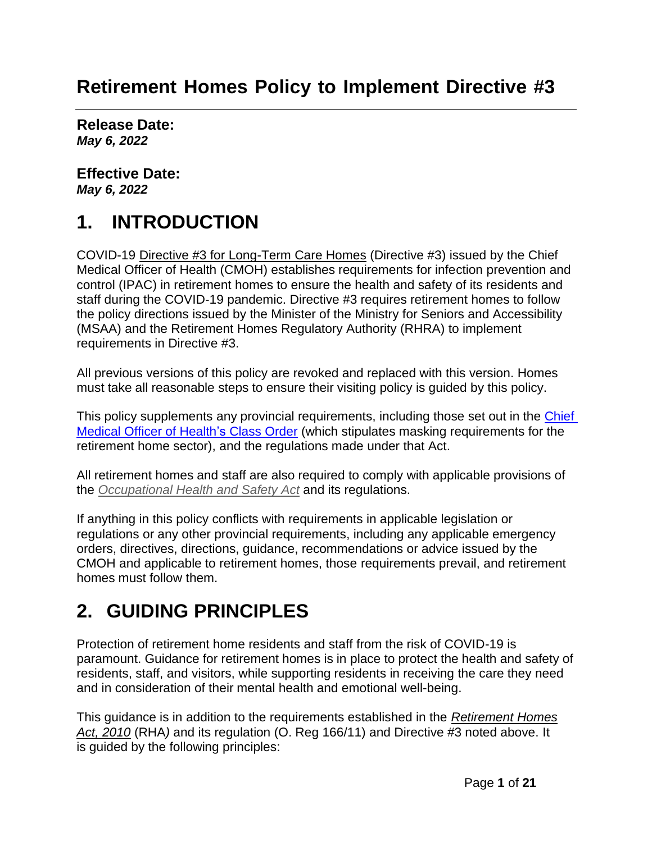## **Retirement Homes Policy to Implement Directive #3**

**Release Date:** *May 6, 2022*

**Effective Date:** *May 6, 2022*

# **1. INTRODUCTION**

COVID-19 [Directive #3 for Long-Term Care Homes](https://www.health.gov.on.ca/en/pro/programs/publichealth/coronavirus/docs/directives/LTCH_HPPA.pdf) (Directive #3) issued by the Chief Medical Officer of Health (CMOH) establishes requirements for infection prevention and control (IPAC) in retirement homes to ensure the health and safety of its residents and staff during the COVID-19 pandemic. Directive #3 requires retirement homes to follow the policy directions issued by the Minister of the Ministry for Seniors and Accessibility (MSAA) and the Retirement Homes Regulatory Authority (RHRA) to implement requirements in Directive #3.

All previous versions of this policy are revoked and replaced with this version. Homes must take all reasonable steps to ensure their visiting policy is guided by this policy.

This policy supplements any provincial requirements, including those set out in the Chief [Medical Officer of Health's](https://health.gov.on.ca/en/pro/programs/publichealth/coronavirus/docs/orders/section_22_class_order_continued_mask_face_covering_requirements.pdf) Class Order (which stipulates masking requirements for the retirement home sector), and the regulations made under that Act.

All retirement homes and staff are also required to comply with applicable provisions of the *[Occupational Health and](http://www.e-laws.gov.on.ca/html/statutes/english/elaws_statutes_90o01_e.htm) Safety Act* and its regulations.

If anything in this policy conflicts with requirements in applicable legislation or regulations or any other provincial requirements, including any applicable emergency orders, directives, directions, guidance, recommendations or advice issued by the CMOH and applicable to retirement homes, those requirements prevail, and retirement homes must follow them.

# **2. GUIDING PRINCIPLES**

Protection of retirement home residents and staff from the risk of COVID-19 is paramount. Guidance for retirement homes is in place to protect the health and safety of residents, staff, and visitors, while supporting residents in receiving the care they need and in consideration of their mental health and emotional well-being.

This guidance is in addition to the requirements established in the *[Retirement Homes](https://www.ontario.ca/laws/statute/10r11) [Act, 2010](https://www.ontario.ca/laws/statute/10r11)* (RHA*)* and its regulation (O. Reg 166/11) and Directive #3 noted above. It is guided by the following principles: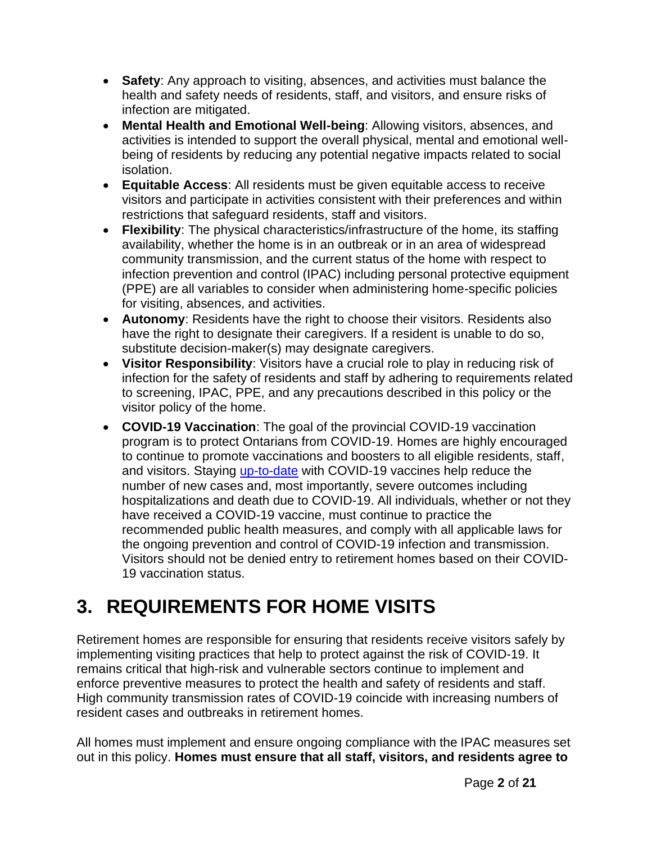- **Safety**: Any approach to visiting, absences, and activities must balance the health and safety needs of residents, staff, and visitors, and ensure risks of infection are mitigated.
- **Mental Health and Emotional Well-being**: Allowing visitors, absences, and activities is intended to support the overall physical, mental and emotional wellbeing of residents by reducing any potential negative impacts related to social isolation.
- **Equitable Access**: All residents must be given equitable access to receive visitors and participate in activities consistent with their preferences and within restrictions that safeguard residents, staff and visitors.
- **Flexibility**: The physical characteristics/infrastructure of the home, its staffing availability, whether the home is in an outbreak or in an area of widespread community transmission, and the current status of the home with respect to infection prevention and control (IPAC) including personal protective equipment (PPE) are all variables to consider when administering home-specific policies for visiting, absences, and activities.
- **Autonomy**: Residents have the right to choose their visitors. Residents also have the right to designate their caregivers. If a resident is unable to do so, substitute decision-maker(s) may designate caregivers.
- **Visitor Responsibility**: Visitors have a crucial role to play in reducing risk of infection for the safety of residents and staff by adhering to requirements related to screening, IPAC, PPE, and any precautions described in this policy or the visitor policy of the home.
- **COVID-19 Vaccination**: The goal of the provincial COVID-19 vaccination program is to protect Ontarians from COVID-19. Homes are highly encouraged to continue to promote vaccinations and boosters to all eligible residents, staff, and visitors. Staying [up-to-date](https://www.health.gov.on.ca/en/pro/programs/publichealth/coronavirus/docs/vaccine/COVID_19_vaccine_up_to_date.pdf) with COVID-19 vaccines help reduce the number of new cases and, most importantly, severe outcomes including hospitalizations and death due to COVID-19. All individuals, whether or not they have received a COVID-19 vaccine, must continue to practice the recommended public health measures, and comply with all applicable laws for the ongoing prevention and control of COVID-19 infection and transmission. Visitors should not be denied entry to retirement homes based on their COVID-19 vaccination status.

# **3. REQUIREMENTS FOR HOME VISITS**

Retirement homes are responsible for ensuring that residents receive visitors safely by implementing visiting practices that help to protect against the risk of COVID-19. It remains critical that high-risk and vulnerable sectors continue to implement and enforce preventive measures to protect the health and safety of residents and staff. High community transmission rates of COVID-19 coincide with increasing numbers of resident cases and outbreaks in retirement homes.

All homes must implement and ensure ongoing compliance with the IPAC measures set out in this policy. **Homes must ensure that all staff, visitors, and residents agree to**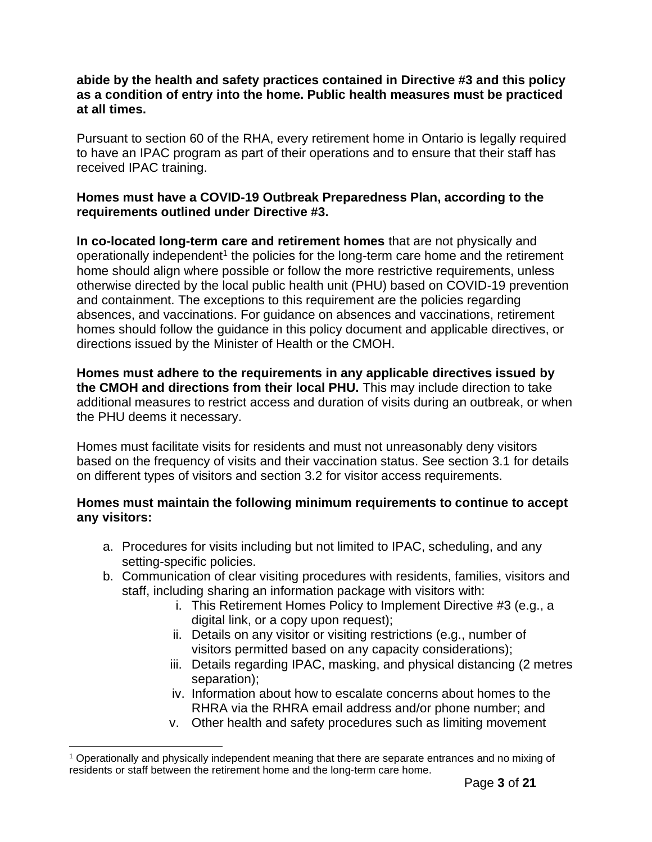#### **abide by the health and safety practices contained in Directive #3 and this policy as a condition of entry into the home. Public health measures must be practiced at all times.**

Pursuant to section 60 of the RHA, every retirement home in Ontario is legally required to have an IPAC program as part of their operations and to ensure that their staff has received IPAC training.

#### **Homes must have a COVID-19 Outbreak Preparedness Plan, according to the requirements outlined under Directive #3.**

**In co-located long-term care and retirement homes** that are not physically and operationally independent<sup>1</sup> the policies for the long-term care home and the retirement home should align where possible or follow the more restrictive requirements, unless otherwise directed by the local public health unit (PHU) based on COVID-19 prevention and containment. The exceptions to this requirement are the policies regarding absences, and vaccinations. For guidance on absences and vaccinations, retirement homes should follow the guidance in this policy document and applicable directives, or directions issued by the Minister of Health or the CMOH.

**Homes must adhere to the requirements in any applicable directives issued by the CMOH and directions from their local PHU.** This may include direction to take additional measures to restrict access and duration of visits during an outbreak, or when the PHU deems it necessary.

Homes must facilitate visits for residents and must not unreasonably deny visitors based on the frequency of visits and their vaccination status. See section 3.1 for details on different types of visitors and section 3.2 for visitor access requirements.

#### **Homes must maintain the following minimum requirements to continue to accept any visitors:**

- a. Procedures for visits including but not limited to IPAC, scheduling, and any setting-specific policies.
- b. Communication of clear visiting procedures with residents, families, visitors and staff, including sharing an information package with visitors with:
	- i. This Retirement Homes Policy to Implement Directive #3 (e.g., a digital link, or a copy upon request);
	- ii. Details on any visitor or visiting restrictions (e.g., number of visitors permitted based on any capacity considerations);
	- iii. Details regarding IPAC, masking, and physical distancing (2 metres separation);
	- iv. Information about how to escalate concerns about homes to the RHRA via the RHRA email address and/or phone number; and
	- v. Other health and safety procedures such as limiting movement

<sup>1</sup> Operationally and physically independent meaning that there are separate entrances and no mixing of residents or staff between the retirement home and the long-term care home.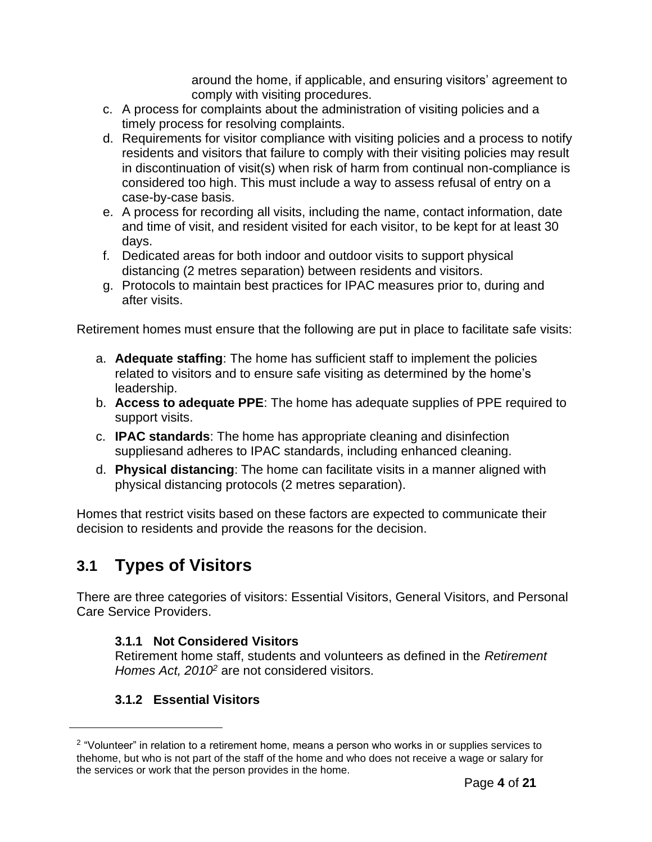around the home, if applicable, and ensuring visitors' agreement to comply with visiting procedures.

- c. A process for complaints about the administration of visiting policies and a timely process for resolving complaints.
- d. Requirements for visitor compliance with visiting policies and a process to notify residents and visitors that failure to comply with their visiting policies may result in discontinuation of visit(s) when risk of harm from continual non-compliance is considered too high. This must include a way to assess refusal of entry on a case-by-case basis.
- e. A process for recording all visits, including the name, contact information, date and time of visit, and resident visited for each visitor, to be kept for at least 30 days.
- f. Dedicated areas for both indoor and outdoor visits to support physical distancing (2 metres separation) between residents and visitors.
- g. Protocols to maintain best practices for IPAC measures prior to, during and after visits.

Retirement homes must ensure that the following are put in place to facilitate safe visits:

- a. **Adequate staffing**: The home has sufficient staff to implement the policies related to visitors and to ensure safe visiting as determined by the home's leadership.
- b. **Access to adequate PPE**: The home has adequate supplies of PPE required to support visits.
- c. **IPAC standards**: The home has appropriate cleaning and disinfection suppliesand adheres to IPAC standards, including enhanced cleaning.
- d. **Physical distancing**: The home can facilitate visits in a manner aligned with physical distancing protocols (2 metres separation).

Homes that restrict visits based on these factors are expected to communicate their decision to residents and provide the reasons for the decision.

### **3.1 Types of Visitors**

There are three categories of visitors: Essential Visitors, General Visitors, and Personal Care Service Providers.

#### **3.1.1 Not Considered Visitors**

Retirement home staff, students and volunteers as defined in the *Retirement Homes Act, 2010<sup>2</sup>* are not considered visitors.

#### **3.1.2 Essential Visitors**

 $2$  "Volunteer" in relation to a retirement home, means a person who works in or supplies services to thehome, but who is not part of the staff of the home and who does not receive a wage or salary for the services or work that the person provides in the home.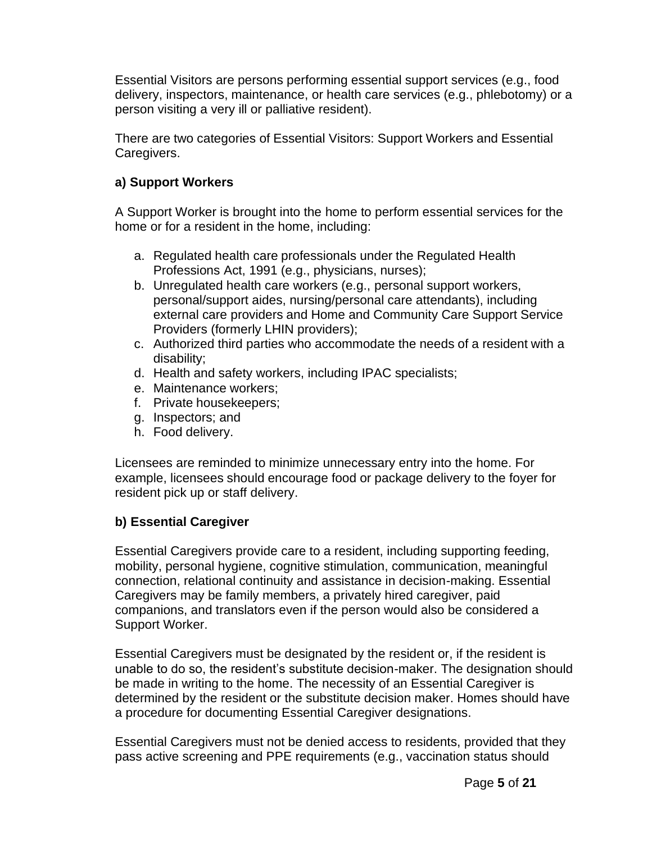Essential Visitors are persons performing essential support services (e.g., food delivery, inspectors, maintenance, or health care services (e.g., phlebotomy) or a person visiting a very ill or palliative resident).

There are two categories of Essential Visitors: Support Workers and Essential Caregivers.

#### **a) Support Workers**

A Support Worker is brought into the home to perform essential services for the home or for a resident in the home, including:

- a. Regulated health care professionals under the Regulated Health Professions Act, 1991 (e.g., physicians, nurses);
- b. Unregulated health care workers (e.g., personal support workers, personal/support aides, nursing/personal care attendants), including external care providers and Home and Community Care Support Service Providers (formerly LHIN providers);
- c. Authorized third parties who accommodate the needs of a resident with a disability;
- d. Health and safety workers, including IPAC specialists;
- e. Maintenance workers;
- f. Private housekeepers;
- g. Inspectors; and
- h. Food delivery.

Licensees are reminded to minimize unnecessary entry into the home. For example, licensees should encourage food or package delivery to the foyer for resident pick up or staff delivery.

#### **b) Essential Caregiver**

Essential Caregivers provide care to a resident, including supporting feeding, mobility, personal hygiene, cognitive stimulation, communication, meaningful connection, relational continuity and assistance in decision-making. Essential Caregivers may be family members, a privately hired caregiver, paid companions, and translators even if the person would also be considered a Support Worker.

Essential Caregivers must be designated by the resident or, if the resident is unable to do so, the resident's substitute decision-maker. The designation should be made in writing to the home. The necessity of an Essential Caregiver is determined by the resident or the substitute decision maker. Homes should have a procedure for documenting Essential Caregiver designations.

Essential Caregivers must not be denied access to residents, provided that they pass active screening and PPE requirements (e.g., vaccination status should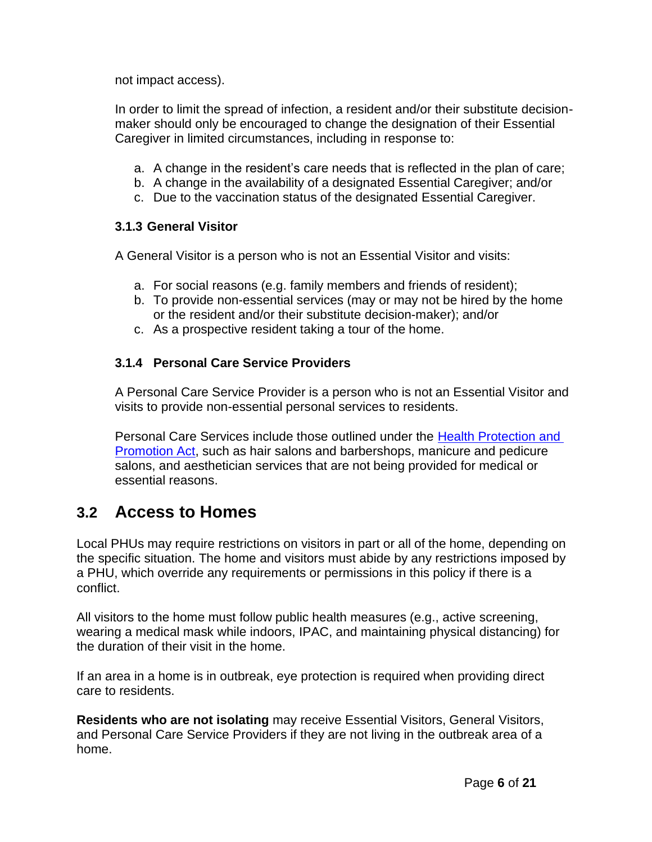not impact access).

In order to limit the spread of infection, a resident and/or their substitute decisionmaker should only be encouraged to change the designation of their Essential Caregiver in limited circumstances, including in response to:

- a. A change in the resident's care needs that is reflected in the plan of care;
- b. A change in the availability of a designated Essential Caregiver; and/or
- c. Due to the vaccination status of the designated Essential Caregiver.

#### **3.1.3 General Visitor**

A General Visitor is a person who is not an Essential Visitor and visits:

- a. For social reasons (e.g. family members and friends of resident);
- b. To provide non-essential services (may or may not be hired by the home or the resident and/or their substitute decision-maker); and/or
- c. As a prospective resident taking a tour of the home.

#### **3.1.4 Personal Care Service Providers**

A Personal Care Service Provider is a person who is not an Essential Visitor and visits to provide non-essential personal services to residents.

Personal Care Services include those outlined under the [Health Protection and](https://www.ontario.ca/laws/statute/90h07#top)  [Promotion Act,](https://www.ontario.ca/laws/statute/90h07#top) such as hair salons and barbershops, manicure and pedicure salons, and aesthetician services that are not being provided for medical or essential reasons.

### **3.2 Access to Homes**

Local PHUs may require restrictions on visitors in part or all of the home, depending on the specific situation. The home and visitors must abide by any restrictions imposed by a PHU, which override any requirements or permissions in this policy if there is a conflict.

All visitors to the home must follow public health measures (e.g., active screening, wearing a medical mask while indoors, IPAC, and maintaining physical distancing) for the duration of their visit in the home.

If an area in a home is in outbreak, eye protection is required when providing direct care to residents.

**Residents who are not isolating** may receive Essential Visitors, General Visitors, and Personal Care Service Providers if they are not living in the outbreak area of a home.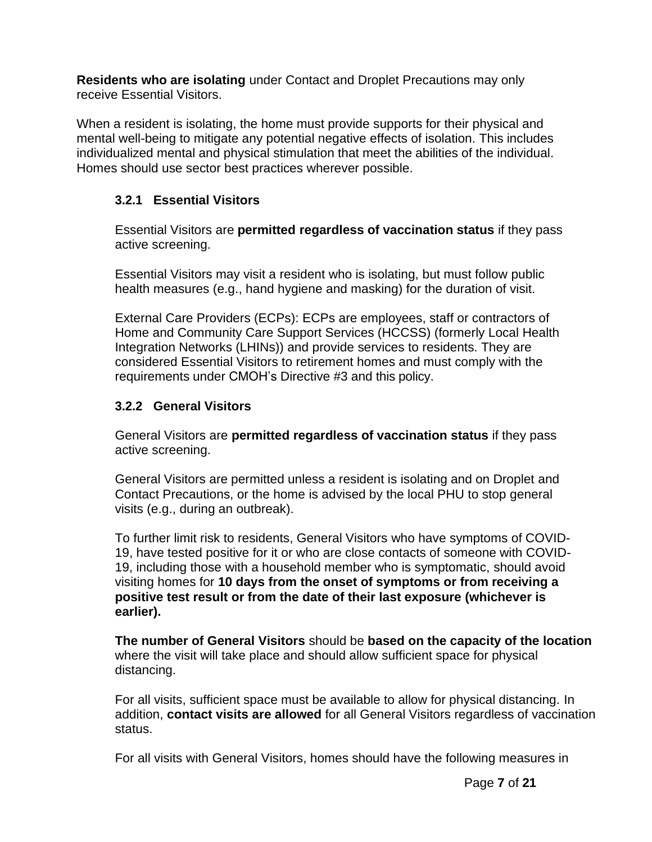**Residents who are isolating** under Contact and Droplet Precautions may only receive Essential Visitors.

When a resident is isolating, the home must provide supports for their physical and mental well-being to mitigate any potential negative effects of isolation. This includes individualized mental and physical stimulation that meet the abilities of the individual. Homes should use sector best practices wherever possible.

#### **3.2.1 Essential Visitors**

Essential Visitors are **permitted regardless of vaccination status** if they pass active screening.

Essential Visitors may visit a resident who is isolating, but must follow public health measures (e.g., hand hygiene and masking) for the duration of visit.

External Care Providers (ECPs): ECPs are employees, staff or contractors of Home and Community Care Support Services (HCCSS) (formerly Local Health Integration Networks (LHINs)) and provide services to residents. They are considered Essential Visitors to retirement homes and must comply with the requirements under CMOH's Directive #3 and this policy.

#### **3.2.2 General Visitors**

General Visitors are **permitted regardless of vaccination status** if they pass active screening.

General Visitors are permitted unless a resident is isolating and on Droplet and Contact Precautions, or the home is advised by the local PHU to stop general visits (e.g., during an outbreak).

To further limit risk to residents, General Visitors who have symptoms of COVID-19, have tested positive for it or who are close contacts of someone with COVID-19, including those with a household member who is symptomatic, should avoid visiting homes for **10 days from the onset of symptoms or from receiving a positive test result or from the date of their last exposure (whichever is earlier).**

**The number of General Visitors** should be **based on the capacity of the location** where the visit will take place and should allow sufficient space for physical distancing.

For all visits, sufficient space must be available to allow for physical distancing. In addition, **contact visits are allowed** for all General Visitors regardless of vaccination status.

For all visits with General Visitors, homes should have the following measures in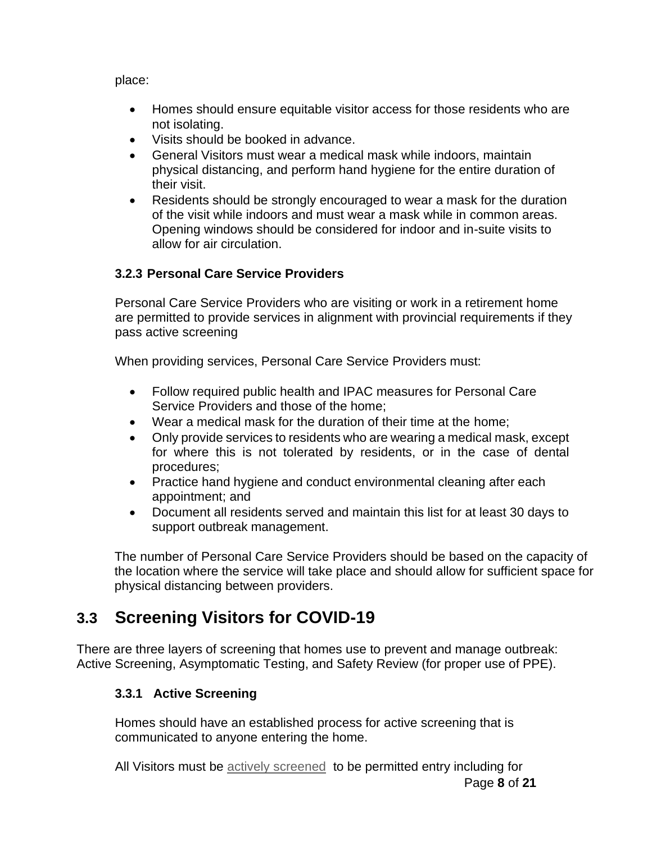place:

- Homes should ensure equitable visitor access for those residents who are not isolating.
- Visits should be booked in advance.
- General Visitors must wear a medical mask while indoors, maintain physical distancing, and perform hand hygiene for the entire duration of their visit.
- Residents should be strongly encouraged to wear a mask for the duration of the visit while indoors and must wear a mask while in common areas. Opening windows should be considered for indoor and in-suite visits to allow for air circulation.

#### **3.2.3 Personal Care Service Providers**

Personal Care Service Providers who are visiting or work in a retirement home are permitted to provide services in alignment with provincial requirements if they pass active screening

When providing services, Personal Care Service Providers must:

- Follow required public health and IPAC measures for Personal Care Service Providers and those of the home;
- Wear a medical mask for the duration of their time at the home;
- Only provide services to residents who are wearing a medical mask, except for where this is not tolerated by residents, or in the case of dental procedures;
- Practice hand hygiene and conduct environmental cleaning after each appointment; and
- Document all residents served and maintain this list for at least 30 days to support outbreak management.

The number of Personal Care Service Providers should be based on the capacity of the location where the service will take place and should allow for sufficient space for physical distancing between providers.

### **3.3 Screening Visitors for COVID-19**

There are three layers of screening that homes use to prevent and manage outbreak: Active Screening, Asymptomatic Testing, and Safety Review (for proper use of PPE).

#### **3.3.1 Active Screening**

Homes should have an established process for active screening that is communicated to anyone entering the home.

Page **8** of **21** All Visitors must be **actively screened** to be permitted entry including for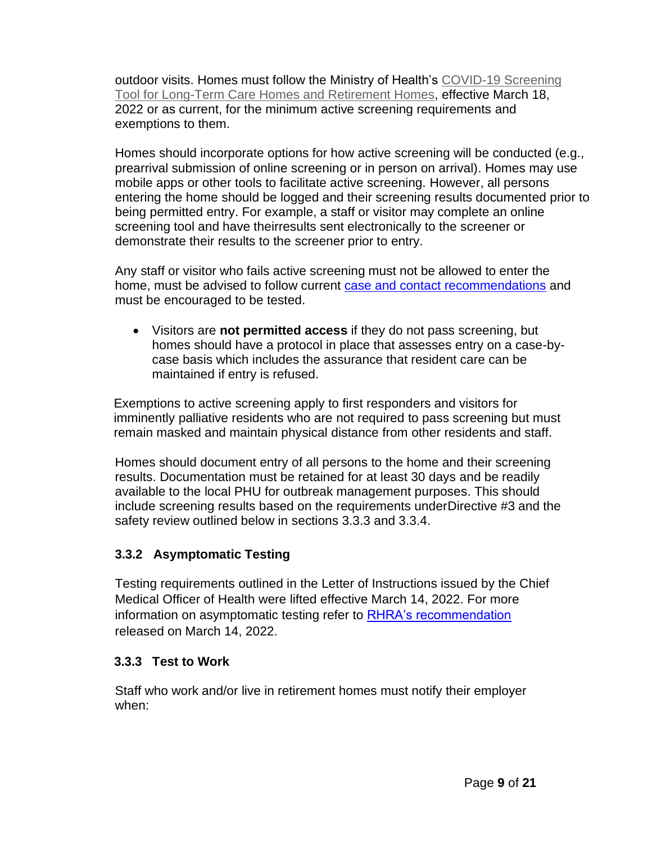outdoor visits. Homes must follow the Ministry of Health's [COVID-19 Screening](http://www.health.gov.on.ca/en/pro/programs/publichealth/coronavirus/docs/2019_screening_guidance.pdf) [Tool for Long-Term Care Homes and Retirement Homes,](http://www.health.gov.on.ca/en/pro/programs/publichealth/coronavirus/docs/2019_screening_guidance.pdf) effective March 18, 2022 or as current, for the minimum active screening requirements and exemptions to them.

Homes should incorporate options for how active screening will be conducted (e.g., prearrival submission of online screening or in person on arrival). Homes may use mobile apps or other tools to facilitate active screening. However, all persons entering the home should be logged and their screening results documented prior to being permitted entry. For example, a staff or visitor may complete an online screening tool and have theirresults sent electronically to the screener or demonstrate their results to the screener prior to entry.

Any staff or visitor who fails active screening must not be allowed to enter the home, must be advised to follow current [case and contact recommendations](https://www.health.gov.on.ca/en/pro/programs/publichealth/coronavirus/docs/contact_mngmt/management_cases_contacts_omicron.pdf) and must be encouraged to be tested.

• Visitors are **not permitted access** if they do not pass screening, but homes should have a protocol in place that assesses entry on a case-bycase basis which includes the assurance that resident care can be maintained if entry is refused.

Exemptions to active screening apply to first responders and visitors for imminently palliative residents who are not required to pass screening but must remain masked and maintain physical distance from other residents and staff.

Homes should document entry of all persons to the home and their screening results. Documentation must be retained for at least 30 days and be readily available to the local PHU for outbreak management purposes. This should include screening results based on the requirements underDirective #3 and the safety review outlined below in sections 3.3.3 and 3.3.4.

#### **3.3.2 Asymptomatic Testing**

Testing requirements outlined in the Letter of Instructions issued by the Chief Medical Officer of Health were lifted effective March 14, 2022. For more information on asymptomatic testing refer to [RHRA's recommendation](https://mailchi.mp/43bbce65934b/rhra-covid-19-info-8031522) released on March 14, 2022.

#### **3.3.3 Test to Work**

Staff who work and/or live in retirement homes must notify their employer when: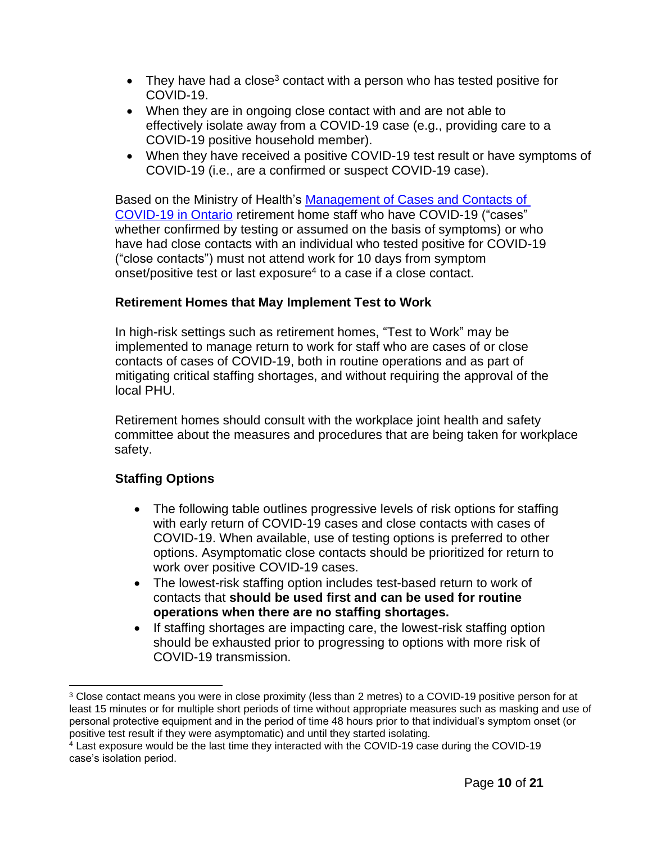- They have had a close<sup>3</sup> contact with a person who has tested positive for COVID-19.
- When they are in ongoing close contact with and are not able to effectively isolate away from a COVID-19 case (e.g., providing care to a COVID-19 positive household member).
- When they have received a positive COVID-19 test result or have symptoms of COVID-19 (i.e., are a confirmed or suspect COVID-19 case).

Based on the Ministry of Health's [Management of Cases and Contacts of](https://www.health.gov.on.ca/en/pro/programs/publichealth/coronavirus/docs/contact_mngmt/management_cases_contacts.pdf)  [COVID-19 in Ontario](https://www.health.gov.on.ca/en/pro/programs/publichealth/coronavirus/docs/contact_mngmt/management_cases_contacts.pdf) retirement home staff who have COVID-19 ("cases" whether confirmed by testing or assumed on the basis of symptoms) or who have had close contacts with an individual who tested positive for COVID-19 ("close contacts") must not attend work for 10 days from symptom onset/positive test or last exposure $4$  to a case if a close contact.

#### **Retirement Homes that May Implement Test to Work**

In high-risk settings such as retirement homes, "Test to Work" may be implemented to manage return to work for staff who are cases of or close contacts of cases of COVID-19, both in routine operations and as part of mitigating critical staffing shortages, and without requiring the approval of the local PHU.

Retirement homes should consult with the workplace joint health and safety committee about the measures and procedures that are being taken for workplace safety.

#### **Staffing Options**

- The following table outlines progressive levels of risk options for staffing with early return of COVID-19 cases and close contacts with cases of COVID-19. When available, use of testing options is preferred to other options. Asymptomatic close contacts should be prioritized for return to work over positive COVID-19 cases.
- The lowest-risk staffing option includes test-based return to work of contacts that **should be used first and can be used for routine operations when there are no staffing shortages.**
- If staffing shortages are impacting care, the lowest-risk staffing option should be exhausted prior to progressing to options with more risk of COVID-19 transmission.

<sup>&</sup>lt;sup>3</sup> Close contact means you were in close proximity (less than 2 metres) to a COVID-19 positive person for at least 15 minutes or for multiple short periods of time without appropriate measures such as masking and use of personal protective equipment and in the period of time 48 hours prior to that individual's symptom onset (or positive test result if they were asymptomatic) and until they started isolating.

 $4$  Last exposure would be the last time they interacted with the COVID-19 case during the COVID-19 case's isolation period.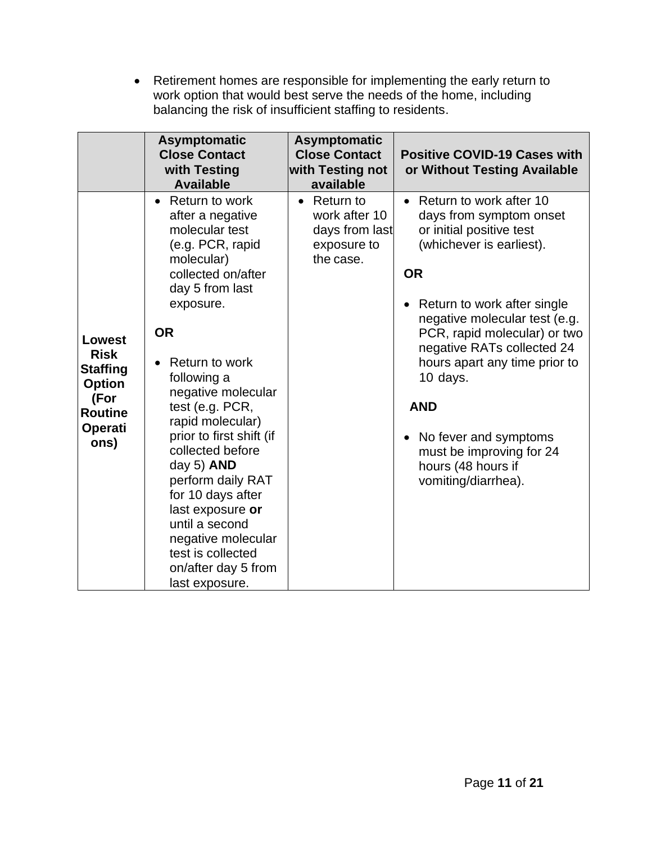• Retirement homes are responsible for implementing the early return to work option that would best serve the needs of the home, including balancing the risk of insufficient staffing to residents.

|                                                                                                                      | <b>Asymptomatic</b><br><b>Close Contact</b><br>with Testing<br><b>Available</b>                                                                                                                                                                                                                                                                                                                                                                                                                        | <b>Asymptomatic</b><br><b>Close Contact</b><br>with Testing not<br>available       | <b>Positive COVID-19 Cases with</b><br>or Without Testing Available                                                                                                                                                                                                                                                                                                                                                             |
|----------------------------------------------------------------------------------------------------------------------|--------------------------------------------------------------------------------------------------------------------------------------------------------------------------------------------------------------------------------------------------------------------------------------------------------------------------------------------------------------------------------------------------------------------------------------------------------------------------------------------------------|------------------------------------------------------------------------------------|---------------------------------------------------------------------------------------------------------------------------------------------------------------------------------------------------------------------------------------------------------------------------------------------------------------------------------------------------------------------------------------------------------------------------------|
| <b>Lowest</b><br><b>Risk</b><br><b>Staffing</b><br><b>Option</b><br>(For<br><b>Routine</b><br><b>Operati</b><br>ons) | Return to work<br>$\bullet$<br>after a negative<br>molecular test<br>(e.g. PCR, rapid<br>molecular)<br>collected on/after<br>day 5 from last<br>exposure.<br><b>OR</b><br>Return to work<br>following a<br>negative molecular<br>test (e.g. PCR,<br>rapid molecular)<br>prior to first shift (if<br>collected before<br>day 5) AND<br>perform daily RAT<br>for 10 days after<br>last exposure or<br>until a second<br>negative molecular<br>test is collected<br>on/after day 5 from<br>last exposure. | $\bullet$ Return to<br>work after 10<br>days from last<br>exposure to<br>the case. | Return to work after 10<br>$\bullet$<br>days from symptom onset<br>or initial positive test<br>(whichever is earliest).<br><b>OR</b><br>Return to work after single<br>negative molecular test (e.g.<br>PCR, rapid molecular) or two<br>negative RATs collected 24<br>hours apart any time prior to<br>10 days.<br><b>AND</b><br>No fever and symptoms<br>must be improving for 24<br>hours (48 hours if<br>vomiting/diarrhea). |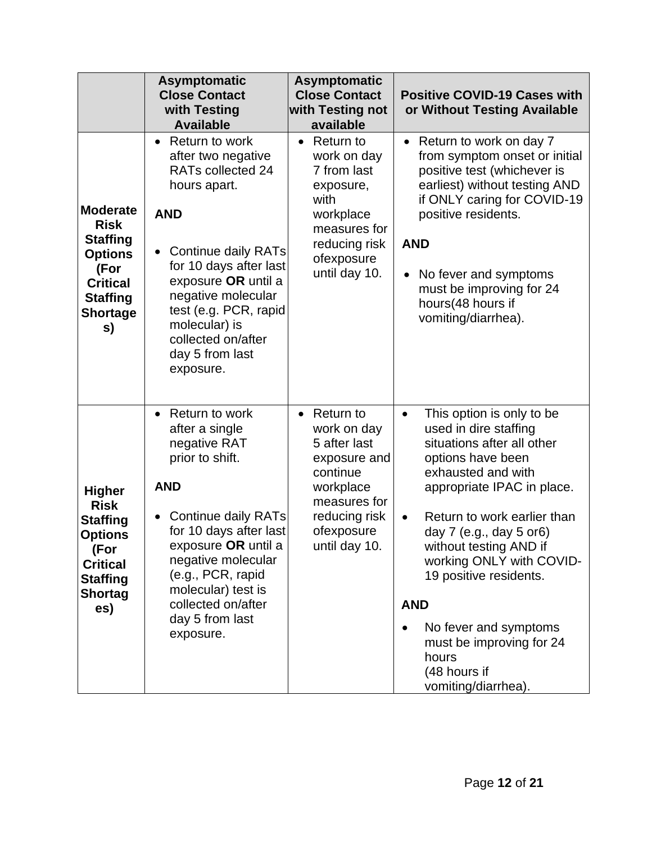|                                                                                                                                            | <b>Asymptomatic</b><br><b>Close Contact</b><br>with Testing<br><b>Available</b>                                                                                                                                                                                                                                        | <b>Asymptomatic</b><br><b>Close Contact</b><br>with Testing not<br>available                                                                                | <b>Positive COVID-19 Cases with</b><br>or Without Testing Available                                                                                                                                                                                                                                                                                                                                                                 |
|--------------------------------------------------------------------------------------------------------------------------------------------|------------------------------------------------------------------------------------------------------------------------------------------------------------------------------------------------------------------------------------------------------------------------------------------------------------------------|-------------------------------------------------------------------------------------------------------------------------------------------------------------|-------------------------------------------------------------------------------------------------------------------------------------------------------------------------------------------------------------------------------------------------------------------------------------------------------------------------------------------------------------------------------------------------------------------------------------|
| <b>Moderate</b><br><b>Risk</b><br><b>Staffing</b><br><b>Options</b><br>(For<br><b>Critical</b><br><b>Staffing</b><br><b>Shortage</b><br>s) | Return to work<br>$\bullet$<br>after two negative<br>RATs collected 24<br>hours apart.<br><b>AND</b><br><b>Continue daily RATs</b><br>$\bullet$<br>for 10 days after last<br>exposure OR until a<br>negative molecular<br>test (e.g. PCR, rapid<br>molecular) is<br>collected on/after<br>day 5 from last<br>exposure. | Return to<br>$\bullet$<br>work on day<br>7 from last<br>exposure,<br>with<br>workplace<br>measures for<br>reducing risk<br>ofexposure<br>until day 10.      | Return to work on day 7<br>from symptom onset or initial<br>positive test (whichever is<br>earliest) without testing AND<br>if ONLY caring for COVID-19<br>positive residents.<br><b>AND</b><br>No fever and symptoms<br>must be improving for 24<br>hours(48 hours if<br>vomiting/diarrhea).                                                                                                                                       |
| <b>Higher</b><br><b>Risk</b><br><b>Staffing</b><br><b>Options</b><br>(For<br><b>Critical</b><br><b>Staffing</b><br><b>Shortag</b><br>es)   | Return to work<br>$\bullet$<br>after a single<br>negative RAT<br>prior to shift.<br><b>AND</b><br><b>Continue daily RATs</b><br>$\bullet$<br>for 10 days after last<br>exposure OR until a<br>negative molecular<br>(e.g., PCR, rapid<br>molecular) test is<br>collected on/after<br>day 5 from last<br>exposure.      | $\bullet$ Return to<br>work on day<br>5 after last<br>exposure and<br>continue<br>workplace<br>measures for<br>reducing risk<br>ofexposure<br>until day 10. | This option is only to be<br>$\bullet$<br>used in dire staffing<br>situations after all other<br>options have been<br>exhausted and with<br>appropriate IPAC in place.<br>Return to work earlier than<br>day 7 (e.g., day 5 or6)<br>without testing AND if<br>working ONLY with COVID-<br>19 positive residents.<br><b>AND</b><br>No fever and symptoms<br>must be improving for 24<br>hours<br>(48 hours if<br>vomiting/diarrhea). |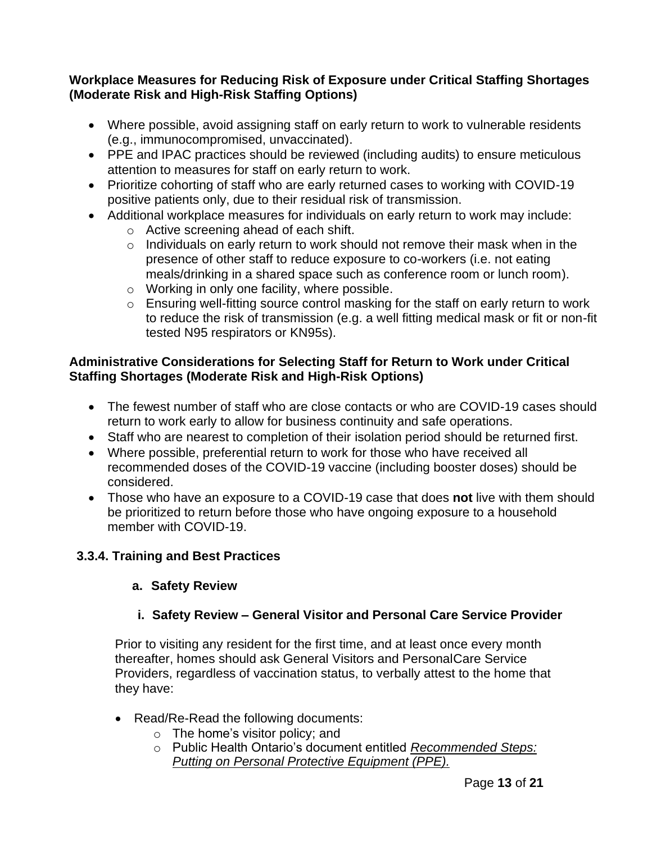#### **Workplace Measures for Reducing Risk of Exposure under Critical Staffing Shortages (Moderate Risk and High-Risk Staffing Options)**

- Where possible, avoid assigning staff on early return to work to vulnerable residents (e.g., immunocompromised, unvaccinated).
- PPE and IPAC practices should be reviewed (including audits) to ensure meticulous attention to measures for staff on early return to work.
- Prioritize cohorting of staff who are early returned cases to working with COVID-19 positive patients only, due to their residual risk of transmission.
- Additional workplace measures for individuals on early return to work may include:
	- o Active screening ahead of each shift.
	- o Individuals on early return to work should not remove their mask when in the presence of other staff to reduce exposure to co-workers (i.e. not eating meals/drinking in a shared space such as conference room or lunch room).
	- o Working in only one facility, where possible.
	- o Ensuring well-fitting source control masking for the staff on early return to work to reduce the risk of transmission (e.g. a well fitting medical mask or fit or non-fit tested N95 respirators or KN95s).

#### **Administrative Considerations for Selecting Staff for Return to Work under Critical Staffing Shortages (Moderate Risk and High-Risk Options)**

- The fewest number of staff who are close contacts or who are COVID-19 cases should return to work early to allow for business continuity and safe operations.
- Staff who are nearest to completion of their isolation period should be returned first.
- Where possible, preferential return to work for those who have received all recommended doses of the COVID-19 vaccine (including booster doses) should be considered.
- Those who have an exposure to a COVID-19 case that does **not** live with them should be prioritized to return before those who have ongoing exposure to a household member with COVID-19.

#### **3.3.4. Training and Best Practices**

#### **a. Safety Review**

#### **i. Safety Review – General Visitor and Personal Care Service Provider**

Prior to visiting any resident for the first time, and at least once every month thereafter, homes should ask General Visitors and PersonalCare Service Providers, regardless of vaccination status, to verbally attest to the home that they have:

- Read/Re-Read the following documents:
	- o The home's visitor policy; and
	- o Public Health Ontario's document entitled *[Recommended Steps:](https://www.publichealthontario.ca/-/media/documents/ncov/ipac/ppe-recommended-steps.pdf?la=en) Putting [on Personal](https://www.publichealthontario.ca/-/media/documents/ncov/ipac/ppe-recommended-steps.pdf?la=en) Protective Equipment (PPE).*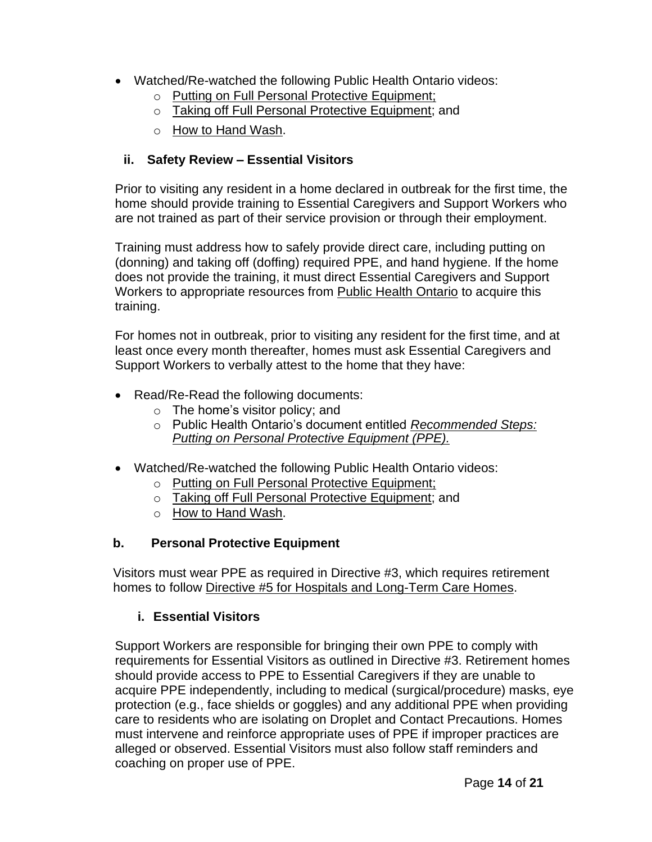- Watched/Re-watched the following Public Health Ontario videos:
	- o Putting on Full Personal Protective [Equipment;](https://www.publichealthontario.ca/en/videos/ipac-fullppe-on)
	- o Taking off Full Personal Protective [Equipment;](https://www.publichealthontario.ca/en/videos/ipac-maskeyes-off) and
	- o How [to Hand](https://www.publichealthontario.ca/en/health-topics/infection-prevention-control/hand-hygiene/jcyh-videos) Wash.

#### **ii. Safety Review – Essential Visitors**

Prior to visiting any resident in a home declared in outbreak for the first time, the home should provide training to Essential Caregivers and Support Workers who are not trained as part of their service provision or through their employment.

Training must address how to safely provide direct care, including putting on (donning) and taking off (doffing) required PPE, and hand hygiene. If the home does not provide the training, it must direct Essential Caregivers and Support Workers to appropriate resources from [Public Health Ontario](https://www.publichealthontario.ca/en/education-and-events/online-learning/ipac-fundamentals) to acquire this training.

For homes not in outbreak, prior to visiting any resident for the first time, and at least once every month thereafter, homes must ask Essential Caregivers and Support Workers to verbally attest to the home that they have:

- Read/Re-Read the following documents:
	- o The home's visitor policy; and
	- o Public Health Ontario's document entitled *[Recommended Steps:](https://www.publichealthontario.ca/-/media/documents/ncov/ipac/ppe-recommended-steps.pdf?la=en) Putting [on Personal](https://www.publichealthontario.ca/-/media/documents/ncov/ipac/ppe-recommended-steps.pdf?la=en) Protective Equipment (PPE).*
- Watched/Re-watched the following Public Health Ontario videos:
	- o Putting on Full Personal Protective [Equipment;](https://www.publichealthontario.ca/en/videos/ipac-fullppe-on)
	- o Taking off Full Personal Protective [Equipment;](https://www.publichealthontario.ca/en/videos/ipac-maskeyes-off) and
	- o How [to Hand](https://www.publichealthontario.ca/en/health-topics/infection-prevention-control/hand-hygiene/jcyh-videos) Wash.

#### **b. Personal Protective Equipment**

Visitors must wear PPE as required in Directive #3, which requires retirement homes to follow Directive #5 for Hospitals and [Long-Term Care Homes.](https://www.health.gov.on.ca/en/pro/programs/publichealth/coronavirus/docs/directives/public_hospitals_act.pdf)

#### **i. Essential Visitors**

Support Workers are responsible for bringing their own PPE to comply with requirements for Essential Visitors as outlined in Directive #3. Retirement homes should provide access to PPE to Essential Caregivers if they are unable to acquire PPE independently, including to medical (surgical/procedure) masks, eye protection (e.g., face shields or goggles) and any additional PPE when providing care to residents who are isolating on Droplet and Contact Precautions. Homes must intervene and reinforce appropriate uses of PPE if improper practices are alleged or observed. Essential Visitors must also follow staff reminders and coaching on proper use of PPE.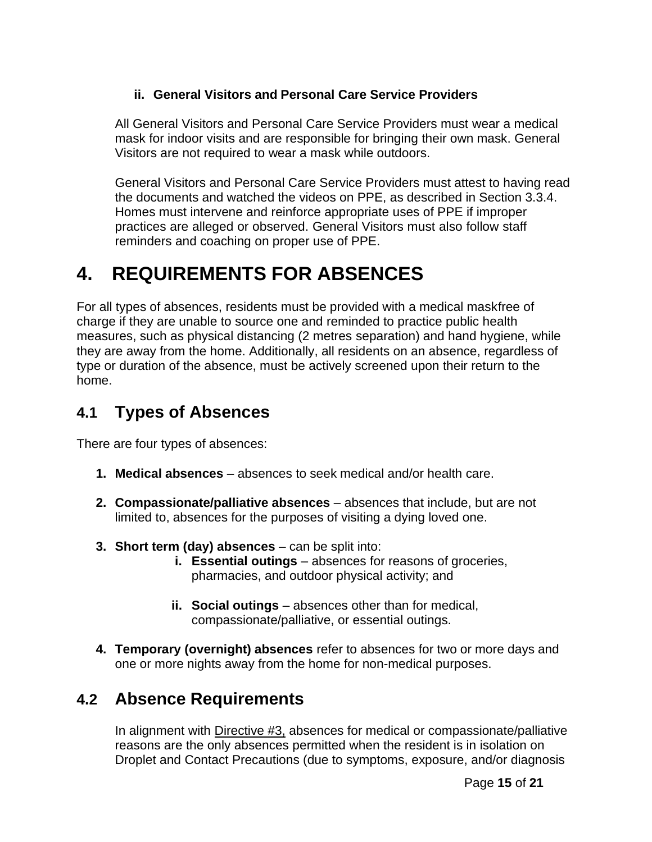#### **ii. General Visitors and Personal Care Service Providers**

All General Visitors and Personal Care Service Providers must wear a medical mask for indoor visits and are responsible for bringing their own mask. General Visitors are not required to wear a mask while outdoors.

General Visitors and Personal Care Service Providers must attest to having read the documents and watched the videos on PPE, as described in Section 3.3.4. Homes must intervene and reinforce appropriate uses of PPE if improper practices are alleged or observed. General Visitors must also follow staff reminders and coaching on proper use of PPE.

# **4. REQUIREMENTS FOR ABSENCES**

For all types of absences, residents must be provided with a medical maskfree of charge if they are unable to source one and reminded to practice public health measures, such as physical distancing (2 metres separation) and hand hygiene, while they are away from the home. Additionally, all residents on an absence, regardless of type or duration of the absence, must be actively screened upon their return to the home.

### **4.1 Types of Absences**

There are four types of absences:

- **1. Medical absences**  absences to seek medical and/or health care.
- **2. Compassionate/palliative absences**  absences that include, but are not limited to, absences for the purposes of visiting a dying loved one.
- **3. Short term (day) absences**  can be split into:
	- **i. Essential outings** absences for reasons of groceries, pharmacies, and outdoor physical activity; and
	- **ii. Social outings**  absences other than for medical, compassionate/palliative, or essential outings.
- **4. Temporary (overnight) absences** refer to absences for two or more days and one or more nights away from the home for non-medical purposes.

## **4.2 Absence Requirements**

In alignment with [Directive #3,](https://www.health.gov.on.ca/en/pro/programs/publichealth/coronavirus/docs/directives/LTCH_HPPA.pdf) absences for medical or compassionate/palliative reasons are the only absences permitted when the resident is in isolation on Droplet and Contact Precautions (due to symptoms, exposure, and/or diagnosis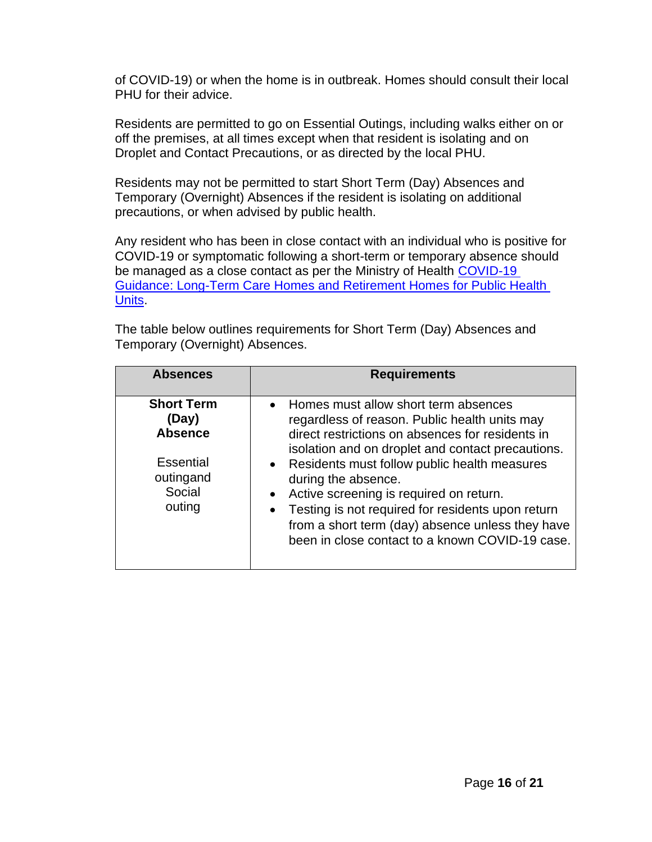of COVID-19) or when the home is in outbreak. Homes should consult their local PHU for their advice.

Residents are permitted to go on Essential Outings, including walks either on or off the premises, at all times except when that resident is isolating and on Droplet and Contact Precautions, or as directed by the local PHU.

Residents may not be permitted to start Short Term (Day) Absences and Temporary (Overnight) Absences if the resident is isolating on additional precautions, or when advised by public health.

Any resident who has been in close contact with an individual who is positive for COVID-19 or symptomatic following a short-term or temporary absence should be managed as a close contact as per the Ministry of Health COVID-19 [Guidance: Long-Term Care Homes and Retirement Homes for Public Health](https://www.health.gov.on.ca/en/pro/programs/publichealth/coronavirus/docs/2019_LTC_homes_retirement_homes_for_PHUs_guidance.pdf)  [Units.](https://www.health.gov.on.ca/en/pro/programs/publichealth/coronavirus/docs/2019_LTC_homes_retirement_homes_for_PHUs_guidance.pdf)

The table below outlines requirements for Short Term (Day) Absences and Temporary (Overnight) Absences.

| <b>Absences</b>                                                                                   | <b>Requirements</b>                                                                                                                                                                                                                                                                                                                                                                                            |
|---------------------------------------------------------------------------------------------------|----------------------------------------------------------------------------------------------------------------------------------------------------------------------------------------------------------------------------------------------------------------------------------------------------------------------------------------------------------------------------------------------------------------|
| <b>Short Term</b><br>(Day)<br><b>Absence</b><br><b>Essential</b><br>outingand<br>Social<br>outing | Homes must allow short term absences<br>$\bullet$<br>regardless of reason. Public health units may<br>direct restrictions on absences for residents in<br>isolation and on droplet and contact precautions.<br>• Residents must follow public health measures<br>during the absence.<br>Active screening is required on return.<br>$\bullet$<br>Testing is not required for residents upon return<br>$\bullet$ |
|                                                                                                   | from a short term (day) absence unless they have<br>been in close contact to a known COVID-19 case.                                                                                                                                                                                                                                                                                                            |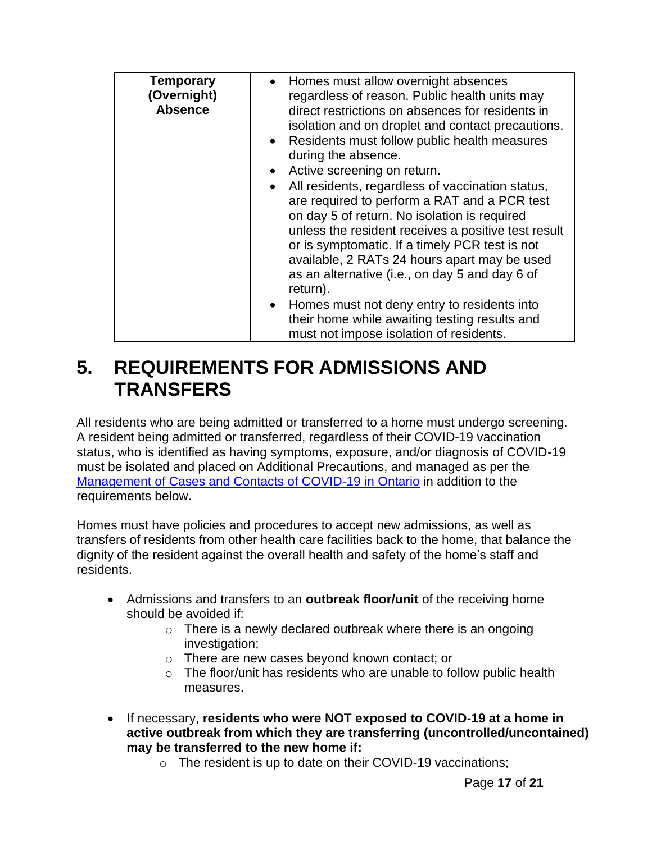| <b>Temporary</b><br>(Overnight)<br><b>Absence</b> | Homes must allow overnight absences<br>regardless of reason. Public health units may<br>direct restrictions on absences for residents in<br>isolation and on droplet and contact precautions.<br>Residents must follow public health measures<br>$\bullet$<br>during the absence.<br>Active screening on return.<br>$\bullet$<br>All residents, regardless of vaccination status,<br>$\bullet$<br>are required to perform a RAT and a PCR test<br>on day 5 of return. No isolation is required<br>unless the resident receives a positive test result<br>or is symptomatic. If a timely PCR test is not<br>available, 2 RATs 24 hours apart may be used<br>as an alternative (i.e., on day 5 and day 6 of<br>return). |
|---------------------------------------------------|-----------------------------------------------------------------------------------------------------------------------------------------------------------------------------------------------------------------------------------------------------------------------------------------------------------------------------------------------------------------------------------------------------------------------------------------------------------------------------------------------------------------------------------------------------------------------------------------------------------------------------------------------------------------------------------------------------------------------|
|                                                   | • Homes must not deny entry to residents into<br>their home while awaiting testing results and<br>must not impose isolation of residents.                                                                                                                                                                                                                                                                                                                                                                                                                                                                                                                                                                             |

## **5. REQUIREMENTS FOR ADMISSIONS AND TRANSFERS**

All residents who are being admitted or transferred to a home must undergo screening. A resident being admitted or transferred, regardless of their COVID-19 vaccination status, who is identified as having symptoms, exposure, and/or diagnosis of COVID-19 must be isolated and placed on Additional Precautions, and managed as per the Management [of Cases and Contacts of COVID-19 in Ontario](https://www.health.gov.on.ca/en/pro/programs/publichealth/coronavirus/docs/contact_mngmt/management_cases_contacts.pdf) in addition to the requirements below.

Homes must have policies and procedures to accept new admissions, as well as transfers of residents from other health care facilities back to the home, that balance the dignity of the resident against the overall health and safety of the home's staff and residents.

- Admissions and transfers to an **outbreak floor/unit** of the receiving home should be avoided if:
	- $\circ$  There is a newly declared outbreak where there is an ongoing investigation;
	- o There are new cases beyond known contact; or
	- $\circ$  The floor/unit has residents who are unable to follow public health measures.
- If necessary, **residents who were NOT exposed to COVID-19 at a home in active outbreak from which they are transferring (uncontrolled/uncontained) may be transferred to the new home if:**
	- o The resident is up to date on their COVID-19 vaccinations;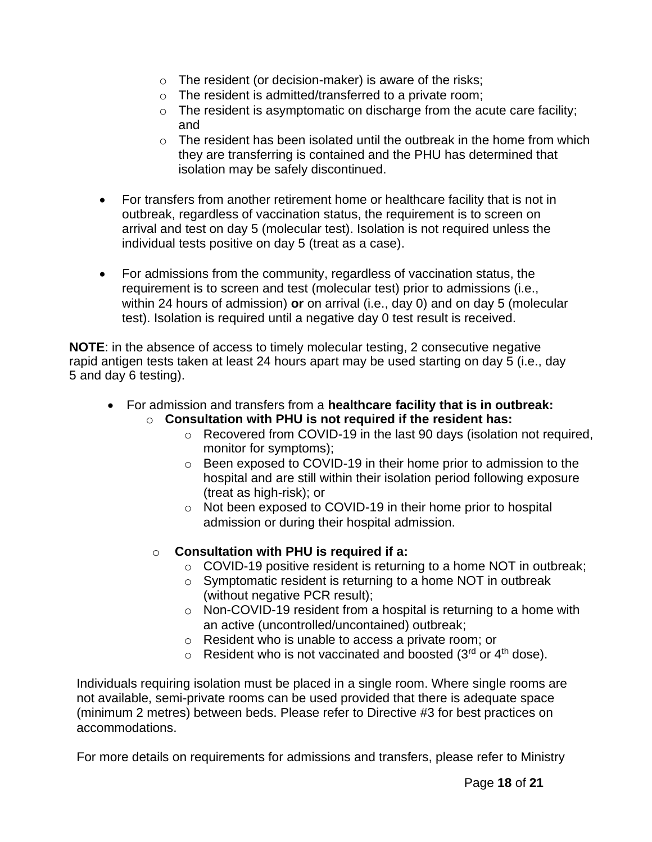- $\circ$  The resident (or decision-maker) is aware of the risks;
- o The resident is admitted/transferred to a private room;
- o The resident is asymptomatic on discharge from the acute care facility; and
- $\circ$  The resident has been isolated until the outbreak in the home from which they are transferring is contained and the PHU has determined that isolation may be safely discontinued.
- For transfers from another retirement home or healthcare facility that is not in outbreak, regardless of vaccination status, the requirement is to screen on arrival and test on day 5 (molecular test). Isolation is not required unless the individual tests positive on day 5 (treat as a case).
- For admissions from the community, regardless of vaccination status, the requirement is to screen and test (molecular test) prior to admissions (i.e., within 24 hours of admission) **or** on arrival (i.e., day 0) and on day 5 (molecular test). Isolation is required until a negative day 0 test result is received.

**NOTE**: in the absence of access to timely molecular testing, 2 consecutive negative rapid antigen tests taken at least 24 hours apart may be used starting on day 5 (i.e., day 5 and day 6 testing).

- For admission and transfers from a **healthcare facility that is in outbreak:** o **Consultation with PHU is not required if the resident has:**
	- o Recovered from COVID-19 in the last 90 days (isolation not required, monitor for symptoms);
	- o Been exposed to COVID-19 in their home prior to admission to the hospital and are still within their isolation period following exposure (treat as high-risk); or
	- o Not been exposed to COVID-19 in their home prior to hospital admission or during their hospital admission.
	- o **Consultation with PHU is required if a:**
		- $\circ$  COVID-19 positive resident is returning to a home NOT in outbreak;
		- o Symptomatic resident is returning to a home NOT in outbreak (without negative PCR result);
		- o Non-COVID-19 resident from a hospital is returning to a home with an active (uncontrolled/uncontained) outbreak;
		- o Resident who is unable to access a private room; or
		- $\circ$  Resident who is not vaccinated and boosted (3<sup>rd</sup> or 4<sup>th</sup> dose).

Individuals requiring isolation must be placed in a single room. Where single rooms are not available, semi-private rooms can be used provided that there is adequate space (minimum 2 metres) between beds. Please refer to Directive #3 for best practices on accommodations.

For more details on requirements for admissions and transfers, please refer to Ministry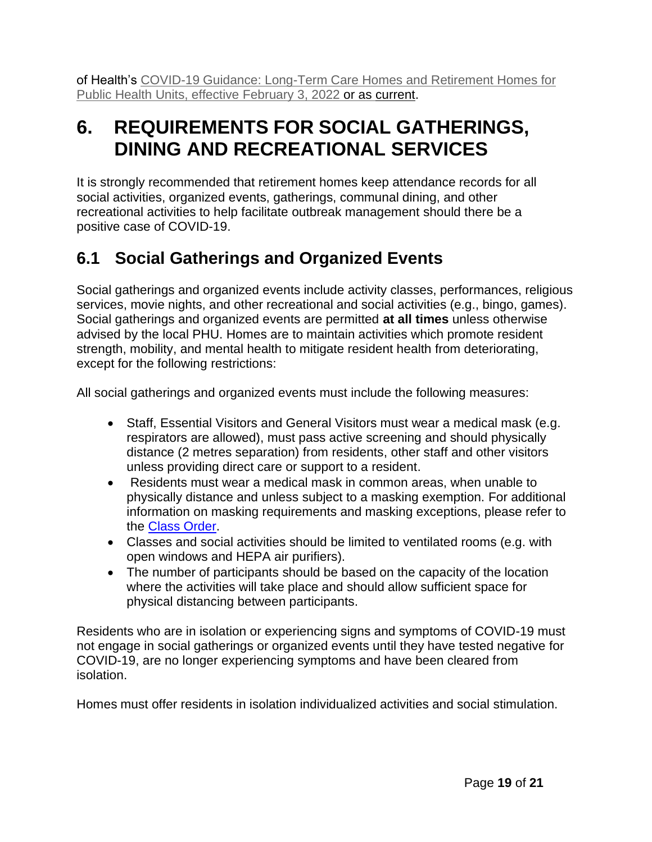of Health's [COVID-19 Guidance: Long-Term Care Homes and Retirement Homes for](https://www.health.gov.on.ca/en/pro/programs/publichealth/coronavirus/docs/2019_LTC_homes_retirement_homes_for_PHUs_guidance.pdf) Public [Health Units,](https://www.health.gov.on.ca/en/pro/programs/publichealth/coronavirus/docs/2019_LTC_homes_retirement_homes_for_PHUs_guidance.pdf) effective February 3, 2022 or as [current.](https://www.health.gov.on.ca/en/pro/programs/publichealth/coronavirus/docs/2019_LTC_homes_retirement_homes_for_PHUs_guidance.pdf)

## **6. REQUIREMENTS FOR SOCIAL GATHERINGS, DINING AND RECREATIONAL SERVICES**

It is strongly recommended that retirement homes keep attendance records for all social activities, organized events, gatherings, communal dining, and other recreational activities to help facilitate outbreak management should there be a positive case of COVID-19.

## **6.1 Social Gatherings and Organized Events**

Social gatherings and organized events include activity classes, performances, religious services, movie nights, and other recreational and social activities (e.g., bingo, games). Social gatherings and organized events are permitted **at all times** unless otherwise advised by the local PHU. Homes are to maintain activities which promote resident strength, mobility, and mental health to mitigate resident health from deteriorating, except for the following restrictions:

All social gatherings and organized events must include the following measures:

- Staff, Essential Visitors and General Visitors must wear a medical mask (e.g. respirators are allowed), must pass active screening and should physically distance (2 metres separation) from residents, other staff and other visitors unless providing direct care or support to a resident.
- Residents must wear a medical mask in common areas, when unable to physically distance and unless subject to a masking exemption. For additional information on masking requirements and masking exceptions, please refer to the [Class Order.](https://health.gov.on.ca/en/pro/programs/publichealth/coronavirus/docs/orders/section_22_class_order_continued_mask_face_covering_requirements.pdf)
- Classes and social activities should be limited to ventilated rooms (e.g. with open windows and HEPA air purifiers).
- The number of participants should be based on the capacity of the location where the activities will take place and should allow sufficient space for physical distancing between participants.

Residents who are in isolation or experiencing signs and symptoms of COVID-19 must not engage in social gatherings or organized events until they have tested negative for COVID-19, are no longer experiencing symptoms and have been cleared from isolation.

Homes must offer residents in isolation individualized activities and social stimulation.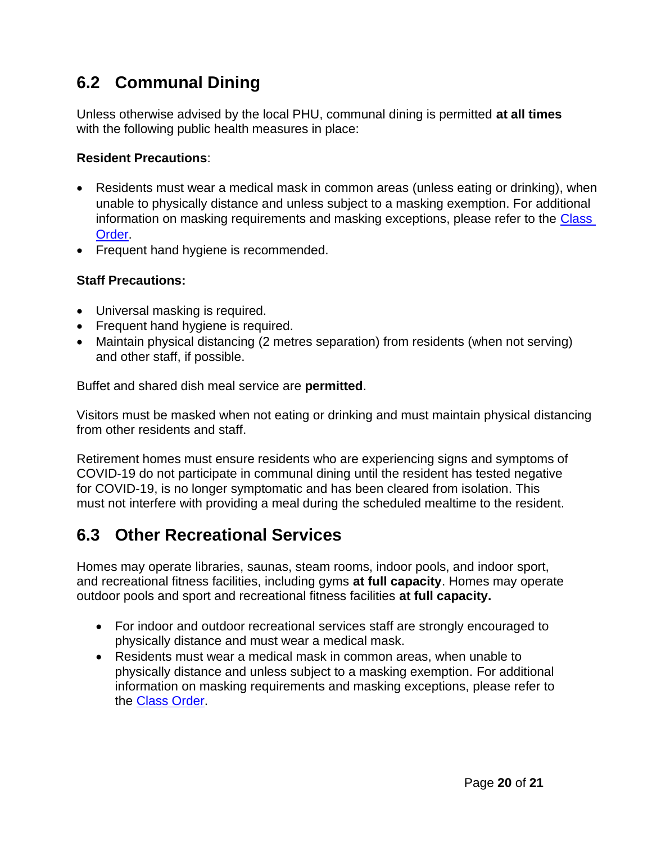## **6.2 Communal Dining**

Unless otherwise advised by the local PHU, communal dining is permitted **at all times** with the following public health measures in place:

#### **Resident Precautions**:

- Residents must wear a medical mask in common areas (unless eating or drinking), when unable to physically distance and unless subject to a masking exemption. For additional information on masking requirements and masking exceptions, please refer to the [Class](https://health.gov.on.ca/en/pro/programs/publichealth/coronavirus/docs/orders/section_22_class_order_continued_mask_face_covering_requirements.pdf)  [Order.](https://health.gov.on.ca/en/pro/programs/publichealth/coronavirus/docs/orders/section_22_class_order_continued_mask_face_covering_requirements.pdf)
- Frequent hand hygiene is recommended.

#### **Staff Precautions:**

- Universal masking is required.
- Frequent hand hygiene is required.
- Maintain physical distancing (2 metres separation) from residents (when not serving) and other staff, if possible.

Buffet and shared dish meal service are **permitted**.

Visitors must be masked when not eating or drinking and must maintain physical distancing from other residents and staff.

Retirement homes must ensure residents who are experiencing signs and symptoms of COVID-19 do not participate in communal dining until the resident has tested negative for COVID-19, is no longer symptomatic and has been cleared from isolation. This must not interfere with providing a meal during the scheduled mealtime to the resident.

### **6.3 Other Recreational Services**

Homes may operate libraries, saunas, steam rooms, indoor pools, and indoor sport, and recreational fitness facilities, including gyms **at full capacity**. Homes may operate outdoor pools and sport and recreational fitness facilities **at full capacity.**

- For indoor and outdoor recreational services staff are strongly encouraged to physically distance and must wear a medical mask.
- Residents must wear a medical mask in common areas, when unable to physically distance and unless subject to a masking exemption. For additional information on masking requirements and masking exceptions, please refer to the [Class Order.](https://health.gov.on.ca/en/pro/programs/publichealth/coronavirus/docs/orders/section_22_class_order_continued_mask_face_covering_requirements.pdf)